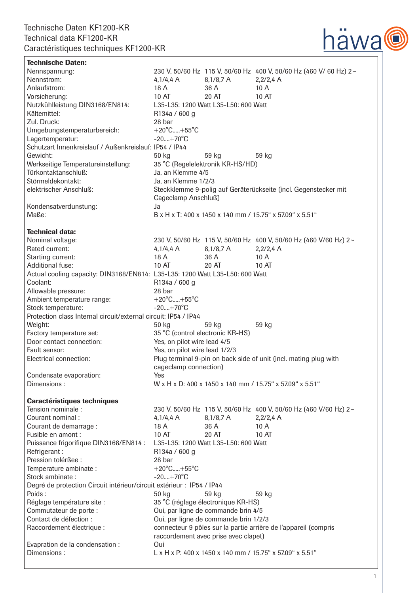

| <b>Technische Daten:</b>                                                     |                                                                                                          |                                      |                                                                   |
|------------------------------------------------------------------------------|----------------------------------------------------------------------------------------------------------|--------------------------------------|-------------------------------------------------------------------|
| Nennspannung:                                                                |                                                                                                          |                                      | 230 V, 50/60 Hz 115 V, 50/60 Hz 400 V, 50/60 Hz (460 V/ 60 Hz) 2~ |
| Nennstrom:                                                                   | 4,1/4,4 A                                                                                                | $8,1/8,7$ A                          | $2,2/2,4$ A                                                       |
| Anlaufstrom:                                                                 | 18 A                                                                                                     | 36 A                                 | 10A                                                               |
| Vorsicherung:                                                                | 10 AT                                                                                                    | 20 AT                                | 10 AT                                                             |
| Nutzkühlleistung DIN3168/EN814:                                              | L35-L35: 1200 Watt L35-L50: 600 Watt                                                                     |                                      |                                                                   |
| Kältemittel:                                                                 | R134a / 600 g                                                                                            |                                      |                                                                   |
| Zul. Druck:                                                                  | 28 bar                                                                                                   |                                      |                                                                   |
| Umgebungstemperaturbereich:                                                  | $+20^{\circ}$ C $+55^{\circ}$ C                                                                          |                                      |                                                                   |
| Lagertemperatur:                                                             | $-20+70^{\circ}C$                                                                                        |                                      |                                                                   |
| Schutzart Innenkreislauf / Außenkreislauf: IP54 / IP44                       |                                                                                                          |                                      |                                                                   |
| Gewicht:                                                                     | 50 kg                                                                                                    | 59 kg                                | 59 kg                                                             |
| Werkseitige Temperatureinstellung:                                           | 35 °C (Regelelektronik KR-HS/HD)                                                                         |                                      |                                                                   |
| Türkontaktanschluß:                                                          | Ja, an Klemme 4/5                                                                                        |                                      |                                                                   |
| Störmeldekontakt:                                                            | Ja, an Klemme 1/2/3                                                                                      |                                      |                                                                   |
| elektrischer Anschluß:                                                       | Steckklemme 9-polig auf Geräterückseite (incl. Gegenstecker mit                                          |                                      |                                                                   |
|                                                                              | Cageclamp Anschluß)                                                                                      |                                      |                                                                   |
| Kondensatverdunstung:                                                        | Ja                                                                                                       |                                      |                                                                   |
| Maße:                                                                        | B x H x T: 400 x 1450 x 140 mm / 15.75" x 57.09" x 5.51"                                                 |                                      |                                                                   |
|                                                                              |                                                                                                          |                                      |                                                                   |
| <b>Technical data:</b>                                                       |                                                                                                          |                                      |                                                                   |
| Nominal voltage:                                                             |                                                                                                          |                                      | 230 V, 50/60 Hz 115 V, 50/60 Hz 400 V, 50/60 Hz (460 V/60 Hz) 2~  |
| Rated current:                                                               | 4,1/4,4 A                                                                                                | $8,1/8,7$ A                          | $2,2/2,4$ A                                                       |
| Starting current:                                                            | 18 A                                                                                                     | 36 A                                 | 10A                                                               |
| <b>Additional fuse:</b>                                                      | 10 AT                                                                                                    | 20 AT                                | 10 AT                                                             |
| Actual cooling capacity: DIN3168/EN814: L35-L35: 1200 Watt L35-L50: 600 Watt |                                                                                                          |                                      |                                                                   |
| Coolant:                                                                     | R134a / 600 g                                                                                            |                                      |                                                                   |
| Allowable pressure:                                                          | 28 bar                                                                                                   |                                      |                                                                   |
| Ambient temperature range:                                                   | $+20^{\circ}$ C $+55^{\circ}$ C                                                                          |                                      |                                                                   |
| Stock temperature:                                                           | $-20+70^{\circ}C$                                                                                        |                                      |                                                                   |
| Protection class Internal circuit/external circuit: IP54 / IP44              |                                                                                                          |                                      |                                                                   |
| Weight:                                                                      | 50 kg                                                                                                    | 59 kg                                | 59 kg                                                             |
| Factory temperature set:                                                     | 35 °C (control electronic KR-HS)                                                                         |                                      |                                                                   |
| Door contact connection:                                                     | Yes, on pilot wire lead 4/5                                                                              |                                      |                                                                   |
| Fault sensor:                                                                | Yes, on pilot wire lead 1/2/3                                                                            |                                      |                                                                   |
| Electrical connection:                                                       | Plug terminal 9-pin on back side of unit (incl. mating plug with                                         |                                      |                                                                   |
|                                                                              | cageclamp connection)                                                                                    |                                      |                                                                   |
| Condensate evaporation:                                                      | Yes                                                                                                      |                                      |                                                                   |
| Dimensions:                                                                  | W x H x D: 400 x 1450 x 140 mm / 15.75" x 57.09" x 5.51"                                                 |                                      |                                                                   |
|                                                                              |                                                                                                          |                                      |                                                                   |
| <b>Caractéristiques techniques</b><br>Tension nominale:                      |                                                                                                          |                                      | 230 V, 50/60 Hz 115 V, 50/60 Hz 400 V, 50/60 Hz (460 V/60 Hz) 2~  |
| Courant nominal :                                                            | 4,1/4,4 A                                                                                                | $8,1/8,7$ A                          | $2,2/2,4$ A                                                       |
| Courant de demarrage :                                                       | 18 A                                                                                                     | 36 A                                 | 10A                                                               |
| Fusible en amont :                                                           | 10 AT                                                                                                    | 20 AT                                | 10 AT                                                             |
| Puissance frigorifique DIN3168/EN814 :                                       |                                                                                                          | L35-L35: 1200 Watt L35-L50: 600 Watt |                                                                   |
| Refrigerant:                                                                 | R134a / 600 g                                                                                            |                                      |                                                                   |
| Pression tolérßee :                                                          | 28 bar                                                                                                   |                                      |                                                                   |
| Temperature ambinate :                                                       | $+20^{\circ}$ C $+55^{\circ}$ C                                                                          |                                      |                                                                   |
| Stock ambinate:                                                              | $-20+70^{\circ}C$                                                                                        |                                      |                                                                   |
| Degré de protection Circuit intérieur/circuit extérieur : IP54 / IP44        |                                                                                                          |                                      |                                                                   |
| Poids:                                                                       | 50 kg                                                                                                    | 59 kg                                | 59 kg                                                             |
| Réglage température site :                                                   | 35 °C (réglage électronique KR-HS)                                                                       |                                      |                                                                   |
|                                                                              |                                                                                                          |                                      |                                                                   |
| Commutateur de porte :<br>Contact de défection :                             | Oui, par ligne de commande brin 4/5                                                                      |                                      |                                                                   |
|                                                                              | Oui, par ligne de commande brin 1/2/3<br>connecteur 9 pôles sur la partie arrière de l'appareil (compris |                                      |                                                                   |
| Raccordement électrique :                                                    | raccordement avec prise avec clapet)                                                                     |                                      |                                                                   |
|                                                                              |                                                                                                          |                                      |                                                                   |
| Evapration de la condensation :<br>Dimensions:                               | Oui<br>L x H x P: 400 x 1450 x 140 mm / 15.75" x 57.09" x 5.51"                                          |                                      |                                                                   |
|                                                                              |                                                                                                          |                                      |                                                                   |